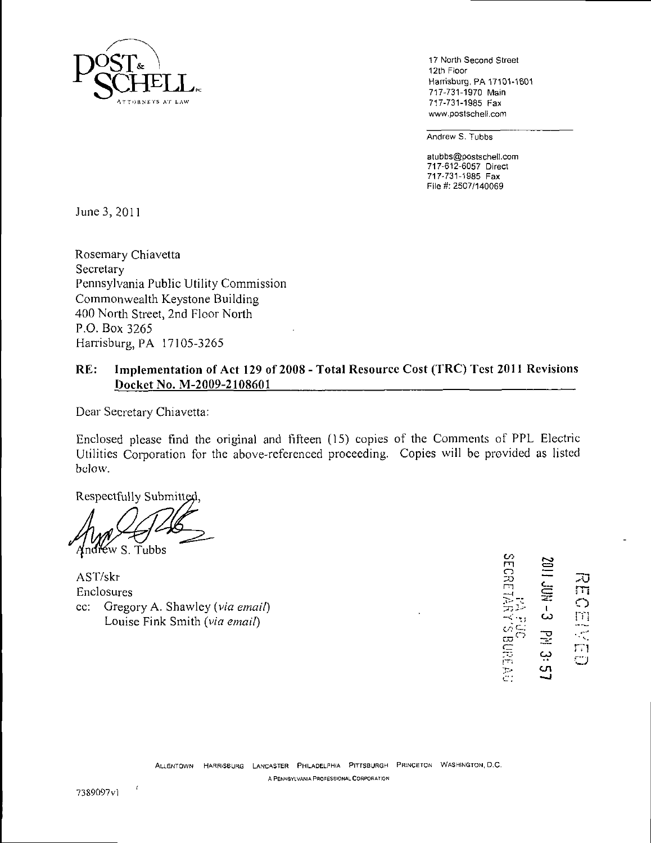

17 North Second Street 12th Floor Harrisburg, PA 17101-1601 717-731-1970 Main 717-731-1985 Fax www.postschell.com

Andrew S. Tubbs

atubbs@postschell.com 717-612-6057 Direct 717-731-1985 Fax File #: 2507/140069

June 3,2011

Rosemary Chiavetta Secretary Pennsylvania Public Utility Commission Commonwealth Keystone Building 400 North Street, 2nd Floor North P.O. Box 3265 Harrisburg, PA 17105-3265

# **RE: Implementation of Act 129 of 2008 - Total Resource Cost (TRC) Test 2011 Revisions**  Docket No. M-2009-2108601

Dear Secretary Chiavetta:

Enclosed please find the original and fifteen (15) copies of the Comments of PPL Electric Utilities Corporation for the above-referenced proceeding. Copies will be provided as listed below.

Respectfully Submitted,

 $\leq$ w S. Tubbs

AST/skr Enclosures *cc: Gregory A. Shawley (via email) Louise Fink Smith (via email)* 

BECRETARY'S BURE SECR 73 n - 로<br>군<del>.</del> - **군**  $\Gamma$ O —<br>ယ  $\begin{array}{c} \omega \equiv \frac{1}{\sqrt{2}} \ \frac{1}{\sqrt{2}} \end{array}$  $\Xi$ ديا  $\overline{c}$ 

 $\epsilon$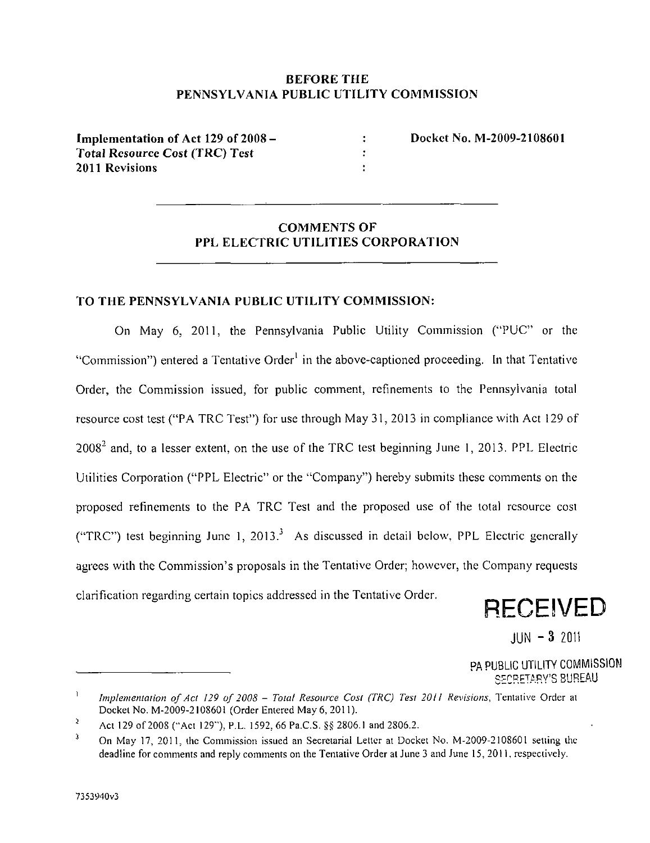# **BEFORE THE PENNSYLVANIA PUBLIC UTILITY COMMISSION**

 $\overline{\mathbf{r}}$  $\ddot{\cdot}$ ÷,

**Implementation of Act 129 of 2008 - Total Resource Cost (TRC) Test 2011 Revisions** 

**Docket No. M-2009-2108601** 

# **COMMENTS OF PPL ELECTRIC UTILITIES CORPORATION**

### **TO THE PENNSYLVANIA PUBLIC UTILITY COMMISSION:**

On May 6, 2011, the Pennsylvania Public Utility Commission ("PUC" or the "Commission") entered a Tentative Order<sup>1</sup> in the above-captioned proceeding. In that Tentative Order, the Commission issued, for public comment, refinements to the Pennsylvania total resource cost test ("PA TRC Test") for use through May 31, 2013 in compliance with Act 129 of  $2008<sup>2</sup>$  and, to a lesser extent, on the use of the TRC test beginning June 1, 2013. PPL Electric Utilities Corporation ("PPL Electric" or the "Company") hereby submits these comments on the proposed refinements to the PA TRC Test and the proposed use of the total resource cost ("TRC") test beginning June 1, 2013.<sup>3</sup> As discussed in detail below, PPL Electric generally agrees with the Commission's proposals in the Tentative Order; however, the Company requests clarification regarding certain topics addressed in the Tentative Order.

**RECEIVED** 

 $JUN - 3$  2011

PA PUBLIC UTILITY COMMISSION SECRETARY'S BUREAU

<sup>1</sup> Implementation of Act 129 of 2008 - Total Resource Cost (TRC) Test 2011 Revisions, Tentative Order at Docket No. M-2009-2108601 (Order Entered May 6,2011).

i Act 129 of 2008 ("Act 129"), P.L. 1592, 66 Pa.C.S. §§ 2806.1 and 2806.2.

<sup>3</sup> On May 17, 2011, the Commission issued an Secretarial Letter at Docket No. M-2009-2108601 setting the deadline for comments and reply comments on the Tentative Order at June 3 and June 15, 2011, respectively.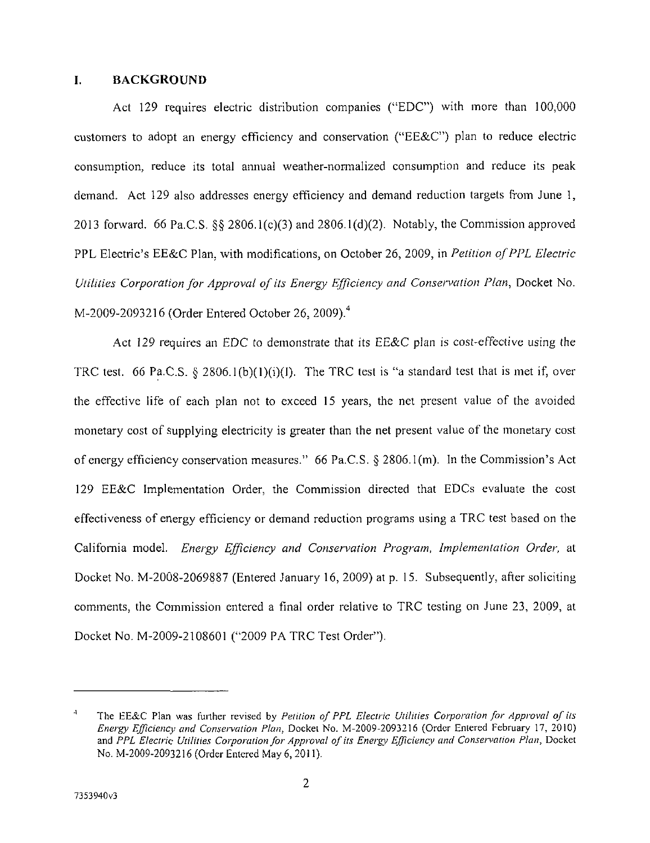#### I. BACKGROUND

Act 129 requires electric distribution companies ("EDC") with more than 100,000 customers to adopt an energy efficiency and conservation ("EE&C") plan to reduce electric consumption, reduce its total annual weather-normalized consumption and reduce its peak demand. Act 129 also addresses energy efficiency and demand reduction targets from June 1, 2013 forward. 66 Pa.C.S. §§ 2806.1(c)(3) and 2806.1(d)(2). Notably, the Commission approved PPL Electric's EE&C Plan, with modifications, on October 26, 2009, in Petition of PPL Electric Utilities Corporation for Approval of its Energy Efficiency and Conservation Plan, Docket No. M-2009-2093216 (Order Entered October 26, 2009).<sup>4</sup>

Act 129 requires an EDC to demonstrate that its EE&C plan is cost-effective using the TRC test. 66 Pa.C.S. § 2806.1(b)(1)(i)(I). The TRC test is "a standard test that is met if, over the effective life of each plan not to exceed 15 years, the net present value of the avoided monetary cost of supplying electricity is greater than the net present value of the monetary cost of energy efficiency conservation measures." 66 Pa.C.S. § 2806. l(m). In the Commission's Act 129 EE&C Implementation Order, the Commission directed that EDCs evaluate the cost effectiveness of energy efficiency or demand reduction programs using a TRC test based on the California model. Energy Efficiency and Conservation Program, Implementation Order, at Docket No. M-2008-2069887 (Entered January 16, 2009) at p. 15. Subsequently, after soliciting comments, the Commission entered a final order relative to TRC testing on June 23, 2009, at Docket No. M-2009-2108601 ("2009 PA TRC Test Order").

<sup>4</sup> The EE&C Plan was further revised by Petition of PPL Electric Utilities Corporation for Approval of its Energy Efficiency and Conservation Plan, Docket No. M-2009-2093216 (Order Entered February 17, 2010) and PPL Electric: Utilities Corporation for Approval of its Energy Efficiency and Conservation Plan, Docket No. M-2009-2093216 (Order Entered May 6,2011).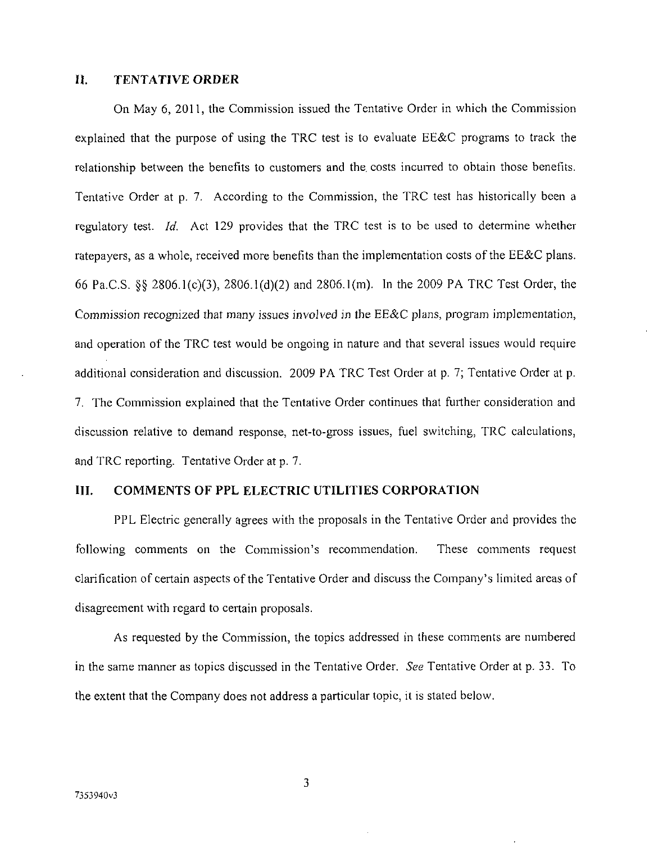#### **II. TENTATIVE ORDER**

On May 6, 2011, the Commission issued the Tentative Order in which the Commission explained that the purpose of using the TRC test is to evaluate EE&C programs to track the relationship between the benefits to customers and the. costs incurred to obtain those benefits. Tentative Order at p. 7. According to the Commission, the TRC test has historically been a regulatory test. Id. Act 129 provides that the TRC test is to be used to determine whether ratepayers, as a whole, received more benefits than the implementation costs of the EE&C plans. 66 Pa.C.S. §§ 2806.1(c)(3), 2806.1(d)(2) and 2806.l(m). In the 2009 PA TRC Test Order, the Commission recognized that many issues involved in the EE&C plans, program implementation, and operation of the TRC test would be ongoing in nature and that several issues would require additional consideration and discussion. 2009 PA TRC Test Order at p. 7; Tentative Order at p. 7. The Commission explained that the Tentative Order continues that further consideration and discussion relative to demand response, net-to-gross issues, fuel switching, TRC calculations, and TRC reporting. Tentative Order at p. 7.

#### **III. COMMENTS OF PPL ELECTRIC UTILITIES CORPORATION**

PPL Electric generally agrees with the proposals in the Tentative Order and provides the following comments on the Commission's recommendation. These comments request clarification of certain aspects of the Tentative Order and discuss the Company's limited areas of disagreement with regard to certain proposals.

As requested by the Commission, the topics addressed in these comments are numbered in the same manner as topics discussed in the Tentative Order. See Tentative Order at p. 33. To the extent that the Company does not address a particular topic, it is stated below.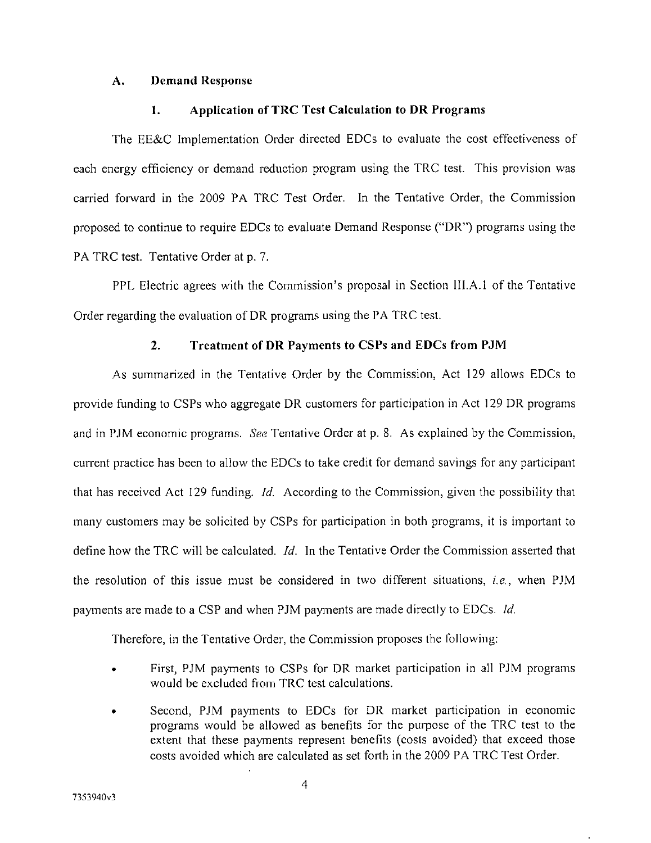#### **A. Demand Response**

#### **1. Application of TRC Test Calculation to DR Programs**

The EE&C Implementation Order directed EDCs to evaluate the cost effectiveness of each energy efficiency or demand reduction program using the TRC test. This provision was carried forward in the 2009 PA TRC Test Order. In the Tentative Order, the Commission proposed to continue to require EDCs to evaluate Demand Response ("DR") programs using the PA TRC test. Tentative Order at p. 7.

PPL Electric agrees with the Commission's proposal in Section III.A.l of the Tentative Order regarding the evaluation of DR programs using the PA TRC test.

#### **2. Treatment of DR Payments to CSPs and EDCs from PJM**

*As summarized in the Tentative Order by the Commission, Act 129 allows EDCs to provide funding to CSPs who aggregate DR customers for participation in Act 129 DR programs and in PJM economic programs. See Tentative Order at p. 8. As explained by the Commission, current practice has been to allow the EDCs to take credit for demand savings for any participant that has received Act 129 funding. Id. According to the Commission, given the possibility that many customers may be solicited by CSPs for participation in both programs, it is important to define how the TRC will be calculated. Id. In the Tentative Order the Commission asserted that the resolution of this issue must be considered in two different situations, i.e., when PJM payments are made to a CSP and when PJM payments are made directly to EDCs. Id.* 

Therefore, in the Tentative Order, the Commission proposes the following:

- First, PJM payments to CSPs for DR market participation in all PJM programs would be excluded from TRC test calculations.
- Second, PJM payments to EDCs for DR market participation in economic programs would be allowed as benefits for the purpose of the TRC test to the extent that these payments represent benefits (costs avoided) that exceed those costs avoided which are calculated as set forth in the 2009 PA TRC Test Order.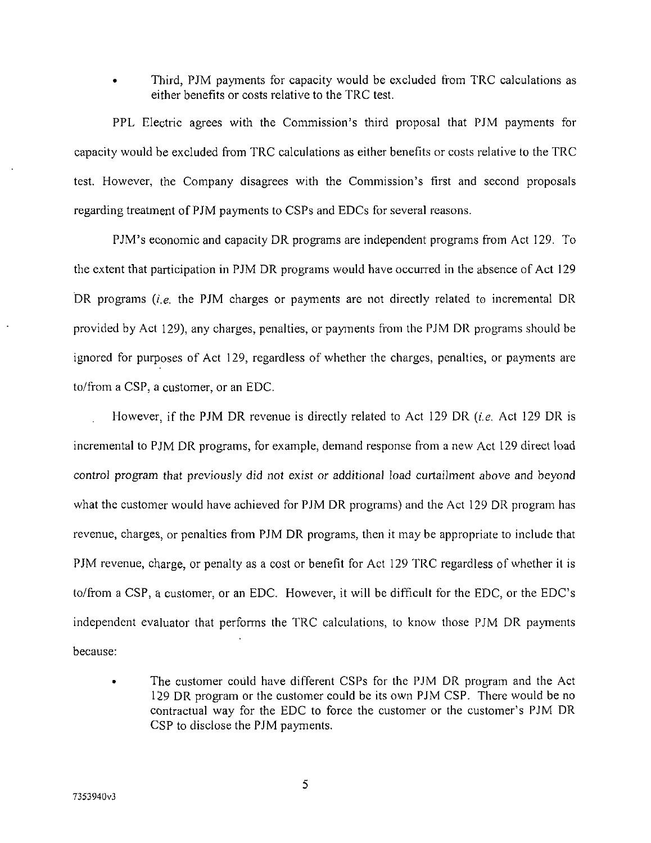• Third, PJM payments for capacity would be excluded from TRC calculations as either benefits or costs relative to the TRC test.

PPL Electric agrees with the Commission's third proposal that PJM payments for capacity would be excluded from TRC calculations as either benefits or costs relative to the TRC test. However, the Company disagrees with the Commission's first and second proposals regarding treatment of PJM payments to CSPs and EDCs for several reasons.

PJM's economic and capacity DR programs are independent programs from Act 129. To the extent that participation in PJM DR programs would have occurred in the absence of Act 129 DR programs  $(i.e.,$  the PJM charges or payments are not directly related to incremental DR provided by Act 129), any charges, penalties, or payments from the PJM DR programs should be ignored for purposes of Act 129, regardless of whether the charges, penalties, or payments are to/from a CSP, a customer, or an EDC.

However, if the PJM DR revenue is directly related to Act 129 DR (*i.e.* Act 129 DR is incremental to PJM DR programs, for example, demand response from a new Act 129 direct load control program that previously did not exist or additional load curtailment above and beyond what the customer would have achieved for PJM DR programs) and the Act 129 DR program has revenue, charges, or penalties from PJM DR programs, then it may be appropriate to include that PJM revenue, charge, or penalty as a cost or benefit for Act 129 TRC regardless of whether it is to/from a CSP, a customer, or an EDC. However, it will be difficult for the EDC, or the EDC's independent evaluator that performs the TRC calculations, to know those PJM DR payments because:

• The customer could have different CSPs for the PJM DR program and the Act 129 DR program or the customer could be its own PJM CSP. There would be no contractual way for the EDC to force the customer or the customer's PJM DR CSP to disclose the PJM payments.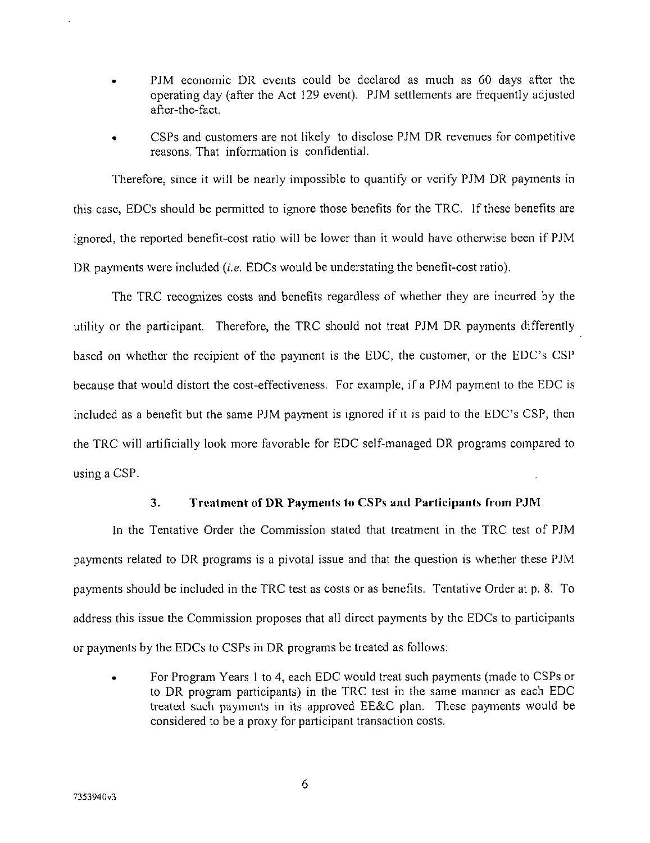- PJM economic DR events could be declared as much as 60 days after the operating day (after the Act 129 event). PJM settlements are frequently adjusted after-the-fact.
- CSPs and customers are not likely to disclose PJM DR revenues for competitive reasons. That information is confidential.

Therefore, since it will be nearly impossible to quantify or verify PJM DR payments in this case, EDCs should be permitted to ignore those benefits for the TRC. If these benefits are ignored, the reported benefit-cost ratio will be lower than it would have otherwise been if PJM DR payments were included *(i.e.* EDCs would be understating the benefit-cost ratio).

The TRC recognizes costs and benefits regardless of whether they are incurred by the utility or the participant. Therefore, the TRC should not treat PJM DR payments differently based on whether the recipient of the payment is the EDC, the customer, or the EDC's CSP because that would distort the cost-effectiveness. For example, if a PJM payment to the EDC is included as a benefit but the same PJM payment is ignored if it is paid to the EDC's CSP, then the TRC will artificially look more favorable for EDC self-managed DR programs compared to using a CSP.

#### **3. Treatment of DR Payments to CSPs and Participants from PJM**

In the Tentative Order the Commission stated that treatment in the TRC test of PJM payments related to DR programs is a pivotal issue and that the question is whether these PJM payments should be included in the TRC test as costs or as benefits. Tentative Order at p. 8. To address this issue the Commission proposes that all direct payments by the EDCs to participants or payments by the EDCs to CSPs in DR programs be treated as follows:

• For Program Years 1 to 4, each EDC would treat such payments (made to CSPs or to DR program participants) in the TRC test in the same manner as each EDC treated such payments in its approved EE&C plan. These payments would be considered to be a proxy for participant transaction costs.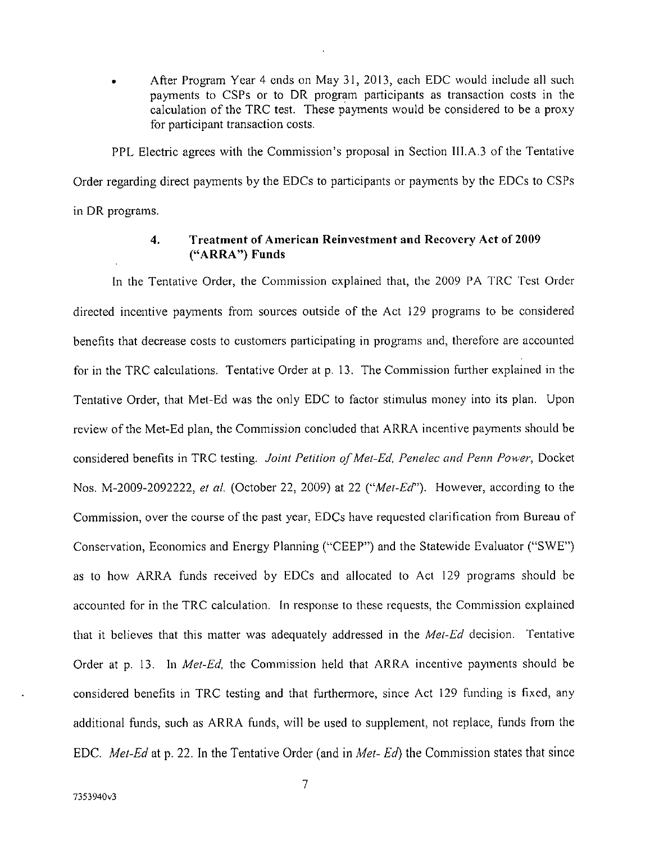• After Program Year 4 ends on May 31, 2013, each EDC would include all such payments to CSPs or to DR program participants as transaction costs in the calculation of the TRC test. These payments would be considered to be a proxy for participant transaction costs.

PPL Electric agrees with the Commission's proposal in Section III.A.3 of the Tentative Order regarding direct payments by the EDCs to participants or payments by the EDCs to CSPs in DR programs.

## **4. Treatment of American Reinvestment and Recovery Act of 2009 ("ARRA") Funds**

In the Tentative Order, the Commission explained that, the 2009 PA TRC Test Order directed incentive payments from sources outside of the Act 129 programs to be considered benefits that decrease costs to customers participating in programs and, therefore are accounted for in the TRC calculations. Tentative Order at p. 13. The Commission further explained in the Tentative Order, that Met-Ed was the only EDC to factor stimulus money into its plan. Upon review of the Met-Ed plan, the Commission concluded that ARRA incentive payments should be considered benefits in TRC testing. Joint Petition of Met-Ed, Penelec and Penn Power, Docket Nos. M-2009-2092222, et al. (October 22, 2009) at 22 ("*Met-Ed*"). However, according to the Commission, over the course of the past year, EDCs have requested clarification from Bureau of Conservation, Economics and Energy Planning ("CEEP") and the Statewide Evaluator ("SWE") as to how ARRA funds received by EDCs and allocated to Act 129 programs should be accounted for in the TRC calculation. In response to these requests, the Commission explained that it believes that this matter was adequately addressed in the Met-Ed decision. Tentative Order at p. 13. In Met-Ed, the Commission held that ARRA incentive payments should be considered benefits in TRC testing and that furthermore, since Act 129 funding is fixed, any additional funds, such as ARRA funds, will be used to supplement, not replace, funds from the EDC. *Met-Ed* at p. 22. In the Tentative Order (and in *Met-Ed*) the Commission states that since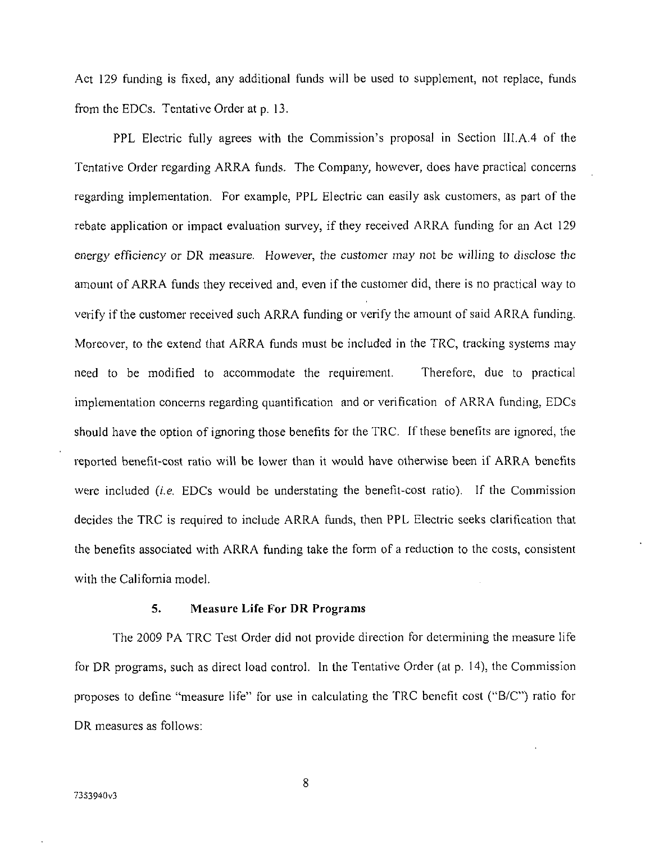Act 129 funding is fixed, any additional funds will be used to supplement, not replace, funds from the EDCs. Tentative Order at p. 13.

PPL Electric fully agrees with the Commission's proposal in Section III.A.4 of the Tentative Order regarding ARRA funds. The Company, however, does have practical concerns regarding implementation. For example, PPL Electric can easily ask customers, as part of the rebate application or impact evaluation survey, if they received ARRA funding for an Act 129 energy efficiency or DR measure. However, the customer may not be willing to disclose the amount of ARRA funds they received and, even if the customer did, there is no practical way to verify if the customer received such ARRA funding or verify the amount of said ARRA funding. Moreover, to the extend that ARRA funds must be included in the TRC, tracking systems may need to be modified to accommodate the requirement. Therefore, due to practical implementation concerns regarding quantification and or verification of ARRA funding, EDCs should have the option of ignoring those benefits for the TRC. If these benefits are ignored, the reported benefit-cost ratio will be lower than it would have otherwise been if ARRA benefits were included (i.e. EDCs would be understating the benefit-cost ratio). If the Commission decides the TRC is required to include ARRA funds, then PPL Electric seeks clarification that the benefits associated with ARRA funding take the form of a reduction to the costs, consistent with the California model.

#### **5. Measure Life For DR Programs**

The 2009 PA TRC Test Order did not provide direction for detennining the measure life for DR programs, such as direct load control. In the Tentative Order (at p. 14), the Commission proposes to define "measure life" for use in calculating the TRC benefit cost ("B/C") ratio for DR measures as follows: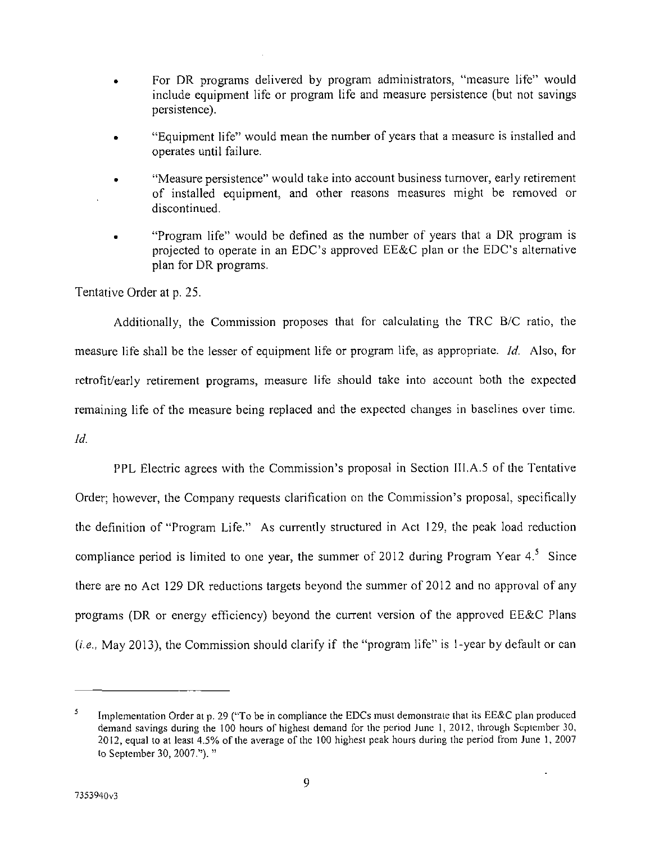- For DR programs delivered by program administrators, "measure life" would include equipment life or program life and measure persistence (but not savings persistence).
- "Equipment life" would mean the number of years that a measure is installed and operates until failure.
- "Measure persistence" would take into account business turnover, early retirement of installed equipment, and other reasons measures might be removed or discontinued.
- "Program life" would be defined as the number of years that a DR program is projected to operate in an EDC's approved EE&C plan or the EDC's alternative plan for DR programs.

Tentative Order at p. 25.

*Additionally, the Commission proposes that for calculating the TRC B/C ratio, the measure life shall be the lesser of equipment life or program life, as appropriate. Id. Also, for retrofit/early retirement programs, measure life should take into account both the expected remaining life of the measure being replaced and the expected changes in baselines over time. Id.* 

PPL Electric agrees with the Commission's proposal in Section III.A.5 of the Tentative Order; however, the Company requests clarification on the Commission's proposal, specifically the definition of "Program Life." As currently structured in Act 129, the peak load reduction compliance period is limited to one year, the summer of 2012 during Program Year  $4.5$  Since there are no Act 129 DR reductions targets beyond the summer of 2012 and no approval of any programs (DR or energy efficiency) beyond the current version of the approved EE&C Plans (i.e., May 2013), the Commission should clarify if the "program life" is 1-year by default or can

<sup>5</sup> Implementation Order at p. 29 ("To be in compliance the EDCs must demonstrate that its EE&C plan produced demand savings during the 100 hours of highest demand for the period June 1, 2012, through September 30, 2012, equal to at least 4.5% of the average of the 100 highest peak hours during the period from June 1, 2007 to September 30, 2007."). "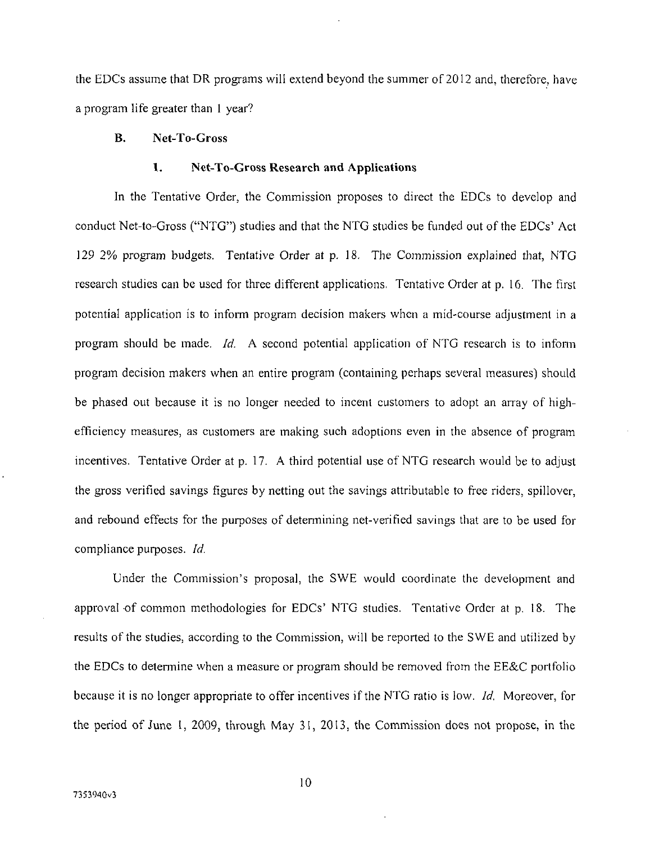the EDCs assume that DR programs will extend beyond the summer of 2012 and, therefore, have a program life greater than 1 year?

## **B. Net-To-Gross**

#### **1. Net-To-Gross Research and Applications**

In the Tentative Order, the Commission proposes to direct the EDCs to develop and *conduct Net-to-Gross ("NTG") studies and that the NTG studies be funded out of the EDCs' Act 129 2% program budgets. Tentative Order at p. 18. The Commission explained that, NTG research studies can be used for three different applications. Tentative Order at p. 16. The first potential application is to inform program decision makers when a mid-course adjustment in a program should be made. Id. A second potential application of NTG research is to infonn program decision makers when an entire program (containing perhaps several measures) should be phased out because it is no longer needed to incent customers to adopt an array of highefficiency measures, as customers are making such adoptions even in the absence of program incentives. Tentative Order at p. 17. A third potential use of NTG research would be to adjust the gross verified savings figures by netting out the savings attributable to free riders, spillover, and rebound effects for the purposes of detennining net-verified savings that are to be used for compliance purposes. Id.* 

Under the Commission's proposal, the SWE would coordinate the development and approval of common methodologies for EDCs' NTG studies. Tentative Order at p. 18. The results of the studies, according to the Commission, will be reported to the SWE and utilized by the EDCs to determine when a measure or program should be removed from the EE&C portfolio because it is no longer appropriate to offer incentives if the NTG ratio is low. *Id.* Moreover, for the period of June I, 2009, through May 31, 2013, the Commission does not propose, in the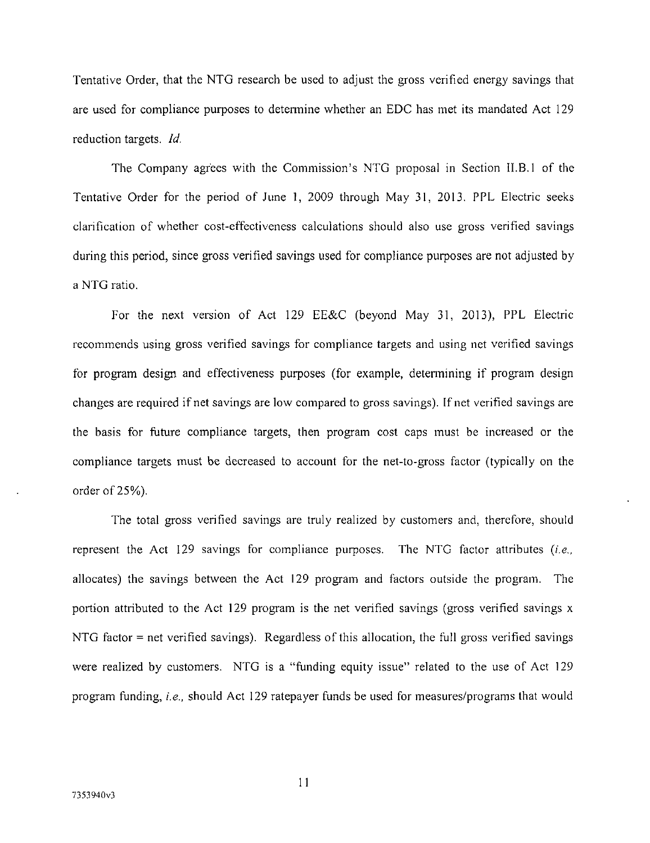*Tentative Order, that the NTG research be used to adjust the gross verified energy savings that are used for compliance purposes to detennine whether an EDC has met its mandated Act 129 reduction targets. Id.* 

The Company agrees with the Commission's NTG proposal in Section 1I.B.1 of the Tentative Order for the period of June 1, 2009 through May 31, 2013. PPL Electric seeks clarification of whether cost-effectiveness calculations should also use gross verified savings during this period, since gross verified savings used for compliance purposes are not adjusted by a NTG ratio.

For the next version of Act 129 EE&C (beyond May 31, 2013), PPL Electric recommends using gross verified savings for compliance targets and using net verified savings for program design and effectiveness purposes (for example, detennining if program design changes are required if net savings are low compared to gross savings). If net verified savings are the basis for future compliance targets, then program cost caps must be increased or the compliance targets must be decreased to account for the net-to-gross factor (typically on the order of 25%).

The total gross verified savings are truly realized by customers and, therefore, should represent the Act 129 savings for compliance purposes. The NTG factor attributes  $(i.e.,$ allocates) the savings between the Act 129 program and factors outside the program. The portion attributed to the Act 129 program is the net verified savings (gross verified savings x NTG factor = net verified savings). Regardless of this allocation, the full gross verified savings were realized by customers. NTG is a "funding equity issue" related to the use of Act 129 program funding, i.e., should Act 129 ratepayer funds be used for measures/programs that would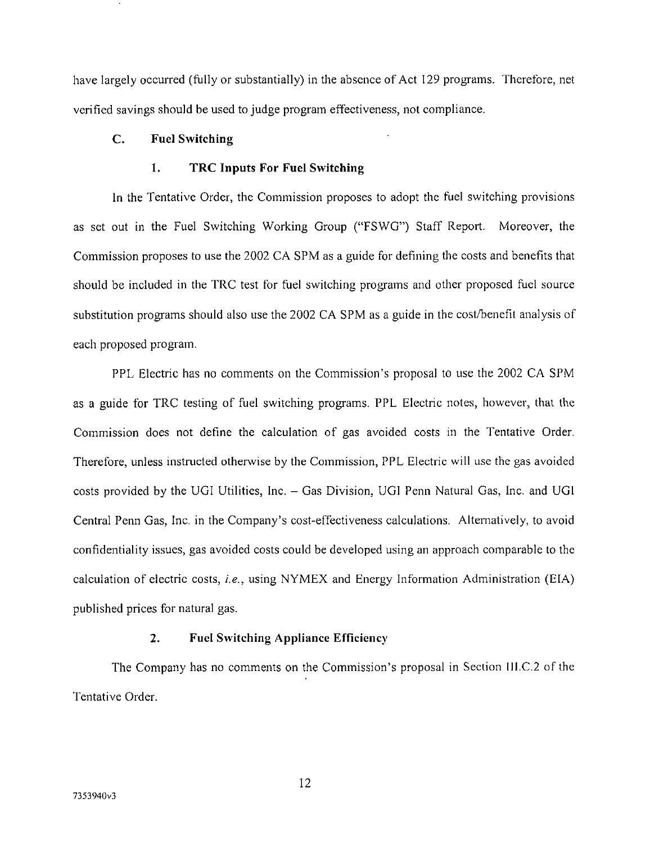**have largely occurred (fully or substantially) in the absence of Act 129 programs. Therefore, net verified savings should be used to judge program effectiveness, not compliance.** 

## **C. Fuel Switching**

#### **1. TRC Inputs For Fuel Switching**

In the Tentative Order, the Commission proposes to adopt the fuel switching provisions as set out in the Fuel Switching Working Group ("FSWG") Staff Report. Moreover, the Commission proposes to use the 2002 CA SPM as a guide for defining the costs and benefits that should be included in the TRC test for fuel switching programs and other proposed fuel source substitution programs should also use the 2002 CA SPM as a guide in the cost/benefit analysis of each proposed program.

PPL Electric has no comments on the Commission's proposal to use the 2002 CA SPM as a guide for TRC testing of fuel switching programs. PPL Electric notes, however, that the Commission does not define the calculation of gas avoided costs in the Tentative Order. Therefore, unless instructed otherwise by the Commission, PPL Electric will use the gas avoided costs provided by the UGI Utilities, Inc. - Gas Division, UGI Penn Natural Gas, Inc. and UGI Central Penn Gas, Inc. in the Company's cost-effectiveness calculations. Alternatively, to avoid confidentiality issues, gas avoided costs could be developed using an approach comparable to the calculation of electric costs, i.e., using NYMEX and Energy Information Administration (EIA) published prices for natural gas.

## **2. Fuel Switching Appliance Efficiency**

The Company has no comments on the Commission's proposal in Section III.C.2 of the Tentative Order.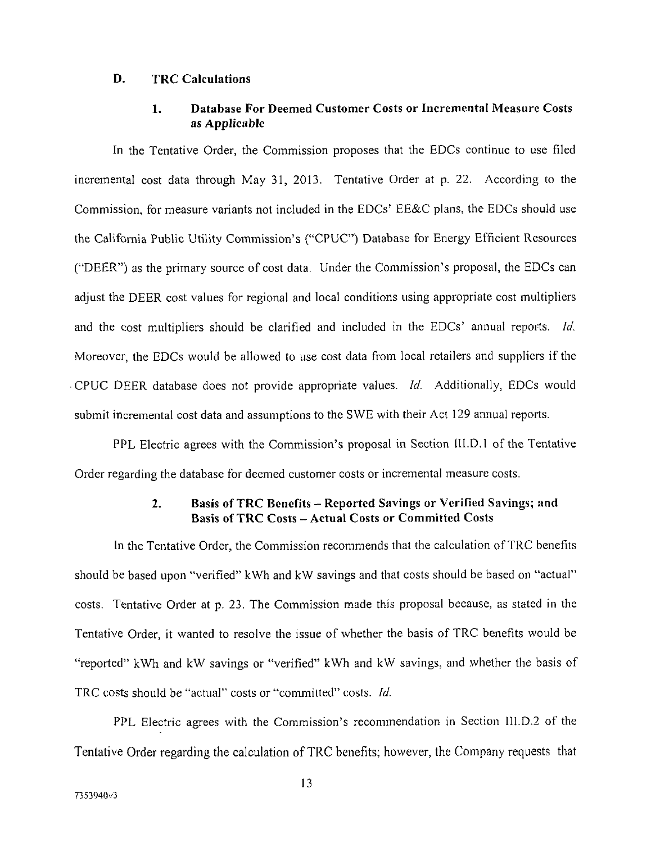# **D. TRC Calculations**

## **1. Database For Deemed Customer Costs or Incremental Measure Costs as Applicable**

In the Tentative Order, the Commission proposes that the EDCs continue to use filed incremental cost data through May 31, 2013. Tentative Order at p. 22. According to the Commission, for measure variants not included in the EDCs' EE&C plans, the EDCs should use the California Public Utility Commission's ("CPUC") Database for Energy Efficient Resources ("DEER") as the primary source of cost data. Under the Commission's proposal, the EDCs can adjust the DEER cost values for regional and local conditions using appropriate cost multipliers and the cost multipliers should be clarified and included in the EDCs' annual reports. Id. Moreover, the EDCs would be allowed to use cost data from local retailers and suppliers if the CPUC DEER database does not provide appropriate values. Id. Additionally, EDCs would submit incremental cost data and assumptions to the SWE with their Act 129 annual reports.

PPL Electric agrees with the Commission's proposal in Section I1I.D.1 of the Tentative Order regarding the database for deemed customer costs or incremental measure costs.

# **2. Basis of TRC Benefits - Reported Savings or Verified Savings; and Basis of TRC Costs - Actual Costs or Committed Costs**

*In the Tentative Order, the Commission recommends that the calculation of TRC benefits should be based upon "verified" kWh and kW savings and that costs should be based on "actual" costs. Tentative Order at p. 23. The Commission made this proposal because, as stated in the Tentative Order, it wanted to resolve the issue of whether the basis of TRC benefits would be "reported" kWh and kW savings or "verified" kWh and kW savings, and whether the basis of TRC costs should be "actual" costs or "committed" costs. Id.* 

PPL Electric agrees with the Commission's recommendation in Section IU.D.2 of the Tentative Order regarding the calculation of TRC benefits; however, the Company requests that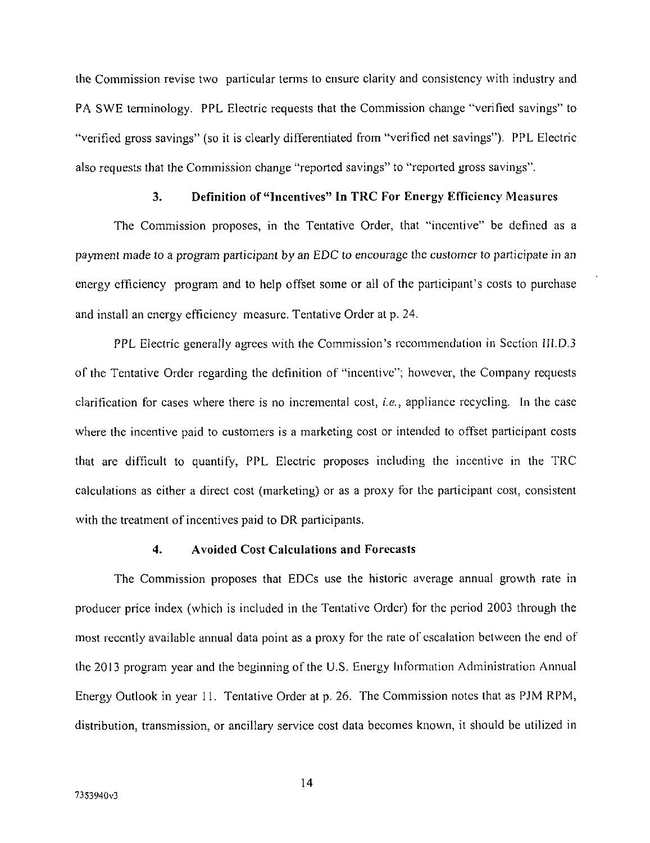the Commission revise two particular terms to ensure clarity and consistency with industry and PA SWE terminology. PPL Electric requests that the Commission change "verified savings" to "verified gross savings" (so it is clearly differentiated from "verified net savings"). PPL Electric also requests that the Commission change "reported savings" to "reported gross savings".

# 3. Definition of "Incentives" In TRC For Energy Efficiency Measures

The Commission proposes, in the Tentative Order, that "incentive" be defined as a payment made to a program participant by an EDC to encourage the customer to participate in an energy efficiency program and to help offset some or all of the participant's costs to purchase and install an energy efficiency measure. Tentative Order at p. 24.

PPL Electric generally agrees with the Commission's recommendation in Section IILD.3 of the Tentative Order regarding the definition of "incentive"; however, the Company requests clarification for cases where there is no incremental cost, i.e., appliance recycling. In the case where the incentive paid to customers is a marketing cost or intended to offset participant costs that are difficult to quantify, PPL Electric proposes including the incentive in the TRC calculations as either a direct cost (marketing) or as a proxy for the participant cost, consistent with the treatment of incentives paid to DR participants.

#### **4. Avoided Cost Calculations and Forecasts**

The Commission proposes that EDCs use the historic average annual growth rate in producer price index (which is included in the Tentative Order) for the period 2003 through the most recently available annual data point as a proxy for the rate of escalation between the end of the 2013 program year and the beginning of the U.S. Energy Information Administration Annual Energy Outlook in year 11. Tentative Order at p. 26. The Commission notes that as PJM RPM, distribution, transmission, or ancillary service cost data becomes known, it should be utilized in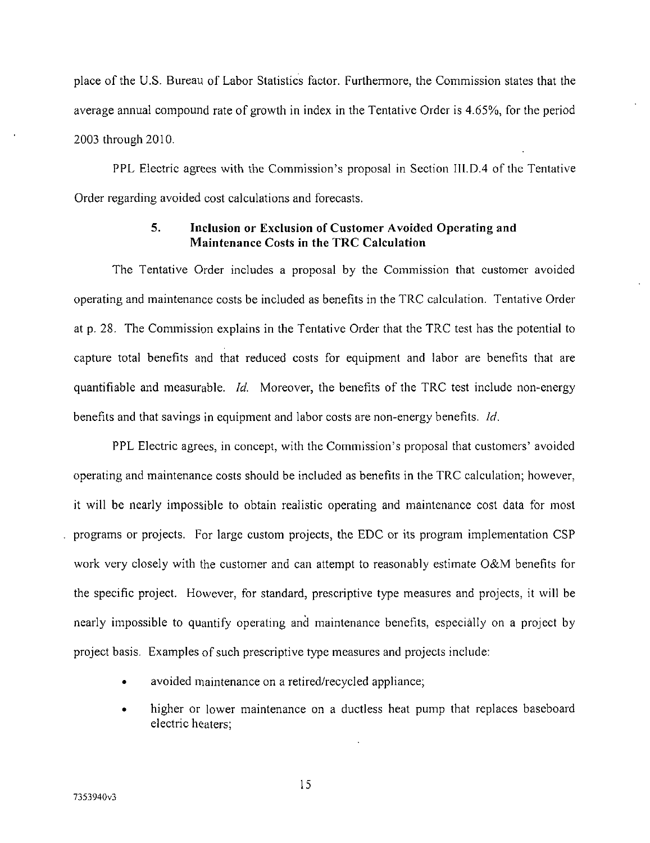place of the U.S. Bureau of Labor Statistics factor. Furthermore, the Commission states that the average annual compound rate of growth in index in the Tentative Order is 4.65%, for the period 2003 through 2010.

PPL Electric agrees with the Commission's proposal in Section III.D.4 of the Tentative Order regarding avoided cost calculations and forecasts.

## **5. Inclusion or Exclusion of Customer Avoided Operating and Maintenance Costs in the TRC Calculation**

*The Tentative Order includes a proposal by the Commission that customer avoided operating and maintenance costs be included as benefits in the TRC calculation. Tentative Order at p. 28. The Commission explains in the Tentative Order that the TRC test has the potential to capture total benefits and that reduced costs for equipment and labor are benefits that are quantifiable and measurable. Id. Moreover, the benefits of the TRC test include non-energy benefits and that savings in equipment and labor costs are non-energy benefits. Id.* 

PPL Electric agrees, in concept, with the Commission's proposal that customers' avoided operating and maintenance costs should be included as benefits in the TRC calculation; however, it will be nearly impossible to obtain realistic operating and maintenance cost data for most programs or projects. For large custom projects, the EDC or its program implementation CSP work very closely with the customer and can attempt to reasonably estimate O&M benefits for the specific project. However, for standard, prescriptive type measures and projects, it will be nearly impossible to quantify operating and maintenance benefits, especially on a project by project basis. Examples of such prescriptive type measures and projects include:

- avoided maintenance on a retired/recycled appliance;
- higher or lower maintenance on a ductless heat pump that replaces baseboard electric heaters;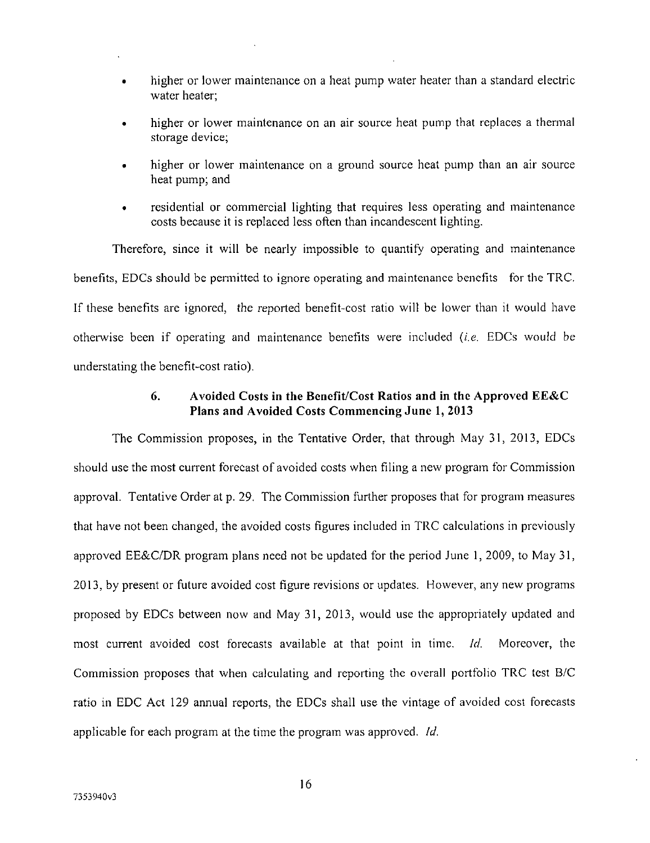- higher or lower maintenance on a heat pump water heater than a standard electric water heater;
- higher or lower maintenance on an air source heat pump that replaces a thermal storage device;
- higher or lower maintenance on a ground source heat pump than an air source heat pump; and
- residential or commercial lighting that requires less operating and maintenance costs because it is replaced less often than incandescent lighting.

Therefore, since it will be nearly impossible to quantify operating and maintenance benefits, EDCs should be permitted to ignore operating and maintenance benefits for the TRC. If these benefits are ignored, the reported benefit-cost ratio will be lower than it would have otherwise been if operating and maintenance benefits were included (i.e. EDCs would be understating the benefit-cost ratio).

## **6. Avoided Costs in the Benefit/Cost Ratios and in the Approved EE&C Plans and Avoided Costs Commencing June 1, 2013**

*The Commission proposes, in the Tentative Order, that through May 31, 2013, EDCs should use the most current forecast of avoided costs when filing a new program for Commission approval. Tentative Order at p. 29. The Commission further proposes that for program measures that have not been changed, the avoided costs figures included in TRC calculations in previously approved EE&C/DR program plans need not be updated for the period June 1, 2009, to May 31, 2013, by present or future avoided cost figure revisions or updates. However, any new programs proposed by EDCs between now and May 31, 2013, would use the appropriately updated and most current avoided cost forecasts available at that point in time. Id. Moreover, the Commission proposes that when calculating and reporting the overall portfolio TRC test B/C ratio in EDC Act 129 annual reports, the EDCs shall use the vintage of avoided cost forecasts applicable for each program at the time the program was approved. Id.*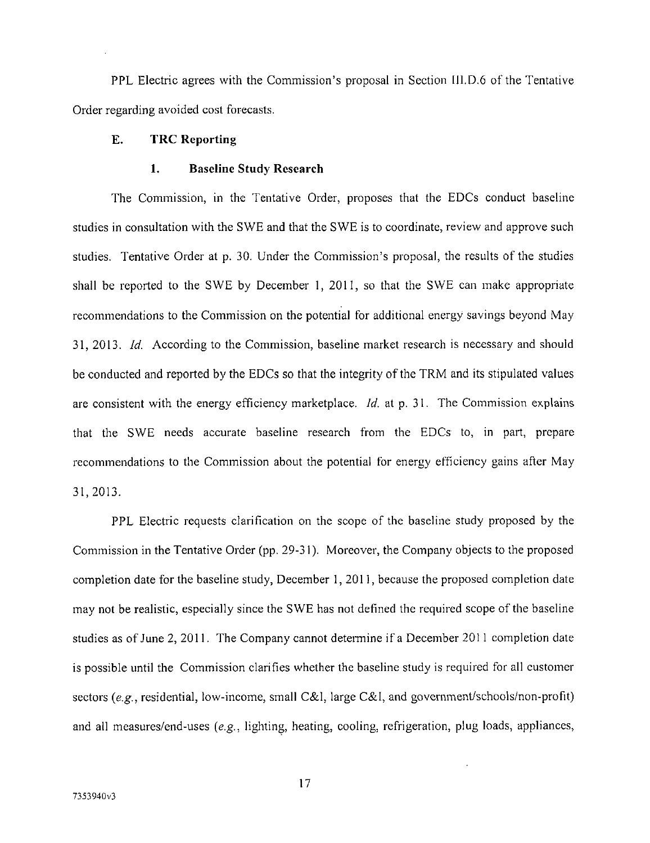PPL Electric agrees with the Commission's proposal in Section III.D.6 of the Tentative Order regarding avoided cost forecasts.

## **E. TRC Reporting**

#### **1. Baseline Study Research**

The Commission, in the Tentative Order, proposes that the EDCs conduct baseline studies in consultation with the SWE and that the SWE is to coordinate, review and approve such studies. Tentative Order at p. 30. Under the Commission's proposal, the results of the studies shall be reported to the SWE by December 1, 2011, so that the SWE can make appropriate recommendations to the Commission on the potential for additional energy savings beyond May 31, 2013. Id. According to the Commission, baseline market research is necessary and should be conducted and reported by the EDCs so that the integrity of the TRM and its stipulated values are consistent with the energy efficiency marketplace. Id. at p. 31. The Commission explains that the SWE needs accurate baseline research from the EDCs to, in part, prepare recommendations to the Commission about the potential for energy efficiency gains after May 31, 2013.

PPL Electric requests clarification on the scope of the baseline study proposed by the Commission in the Tentative Order (pp. 29-31). Moreover, the Company objects to the proposed completion date for the baseline study, December 1, 2011, because the proposed completion date may not be realistic, especially since the SWE has not defined the required scope of the baseline studies as of June 2, 2011. The Company cannot detennine if a December 2011 completion date is possible until the Commission clarifies whether the baseline study is required for all customer sectors (e.g., residential, low-income, small C&I, large C&I, and government/schools/non-profit) and all measures/end-uses (e.g., lighting, heating, cooling, refrigeration, plug loads, appliances,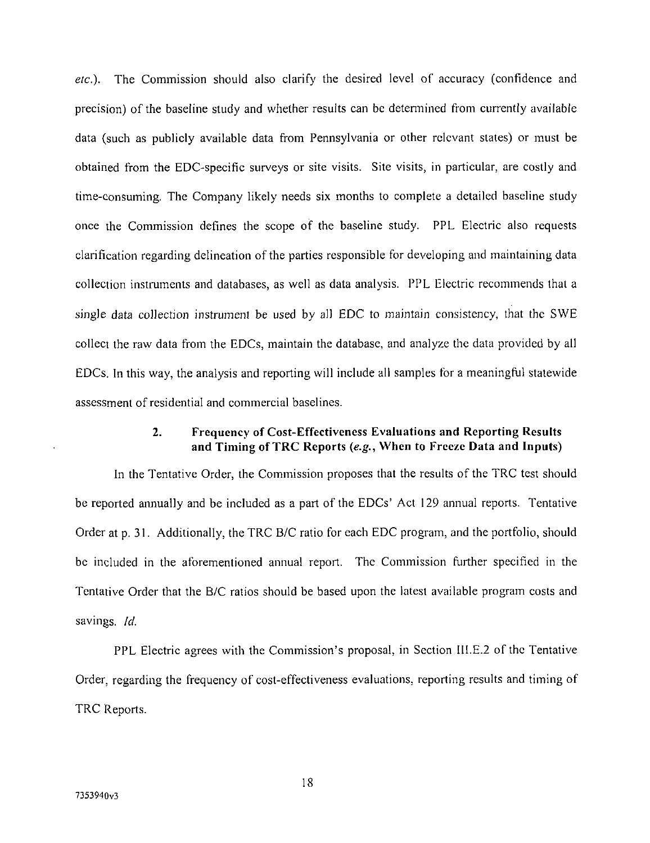etc.). The Commission should also clarify the desired level of accuracy (confidence and precision) of the baseline study and whether results can be detennined from currently available data (such as publicly available data from Pennsylvania or other relevant states) or must be obtained from the EDC-specific surveys or site visits. Site visits, in particular, are costly and time-consuming. The Company likely needs six months to complete a detailed baseline study once the Commission defines the scope of the baseline study. PPL Electric also requests clarification regarding delineation of the parties responsible for developing and maintaining data collection instruments and databases, as well as data analysis. PPL Electric recommends that a single data collection instrument be used by all EDC to maintain consistency, that the SWE collect the raw data from the EDCs, maintain the database, and analyze the data provided by all EDCs. In this way, the analysis and reporting will include all samples for a meaningful statewide assessment of residential and commercial baselines.

### **2. Frequency of Cost-Effectiveness Evaluations and Reporting Results and Timing of TRC Reports {e.g., When to Freeze Data and Inputs)**

*In the Tentative Order, the Commission proposes that the results of the TRC test should*  be reported annually and be included as a part of the EDCs' Act 129 annual reports. Tentative *Order at p. 31. Additionally, the TRC B/C ratio for each EDC program, and the portfolio, should be included in the aforementioned annual report. The Commission further specified in the Tentative Order that the B/C ratios should be based upon the latest available program costs and savings. Id.* 

PPL Electric agrees with the Commission's proposal, in Section III.E.2 of the Tentative Order, regarding the frequency of cost-effectiveness evaluations, reporting results and timing of TRC Reports.